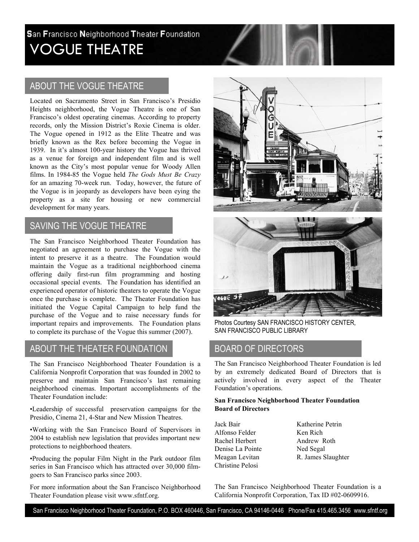# San Francisco Neighborhood Theater Foundation VOGUE THEATRE

## ABOUT THE VOGUE THEATRE

Located on Sacramento Street in San Francisco's Presidio Heights neighborhood, the Vogue Theatre is one of San Francisco's oldest operating cinemas. According to property records, only the Mission District's Roxie Cinema is older. The Vogue opened in 1912 as the Elite Theatre and was briefly known as the Rex before becoming the Vogue in 1939. In it's almost 100-year history the Vogue has thrived as a venue for foreign and independent film and is well known as the City's most popular venue for Woody Allen films. In 1984-85 the Vogue held The Gods Must Be Crazy for an amazing 70-week run. Today, however, the future of the Vogue is in jeopardy as developers have been eying the property as a site for housing or new commercial development for many years.

#### SAVING THE VOGUE THEATRE

The San Francisco Neighborhood Theater Foundation has negotiated an agreement to purchase the Vogue with the intent to preserve it as a theatre. The Foundation would maintain the Vogue as a traditional neighborhood cinema offering daily first-run film programming and hosting occasional special events. The Foundation has identified an experienced operator of historic theaters to operate the Vogue once the purchase is complete. The Theater Foundation has initiated the Vogue Capital Campaign to help fund the purchase of the Vogue and to raise necessary funds for important repairs and improvements. The Foundation plans to complete its purchase of the Vogue this summer (2007).

### ABOUT THE THEATER FOUNDATION

The San Francisco Neighborhood Theater Foundation is a California Nonprofit Corporation that was founded in 2002 to preserve and maintain San Francisco's last remaining neighborhood cinemas. Important accomplishments of the Theater Foundation include:

•Leadership of successful preservation campaigns for the Presidio, Cinema 21, 4-Star and New Mission Theatres.

•Working with the San Francisco Board of Supervisors in 2004 to establish new legislation that provides important new protections to neighborhood theaters.

•Producing the popular Film Night in the Park outdoor film series in San Francisco which has attracted over 30,000 filmgoers to San Francisco parks since 2003.

For more information about the San Francisco Neighborhood Theater Foundation please visit www.sfntf.org.

.





Photos Courtesy SAN FRANCISCO HISTORY CENTER, SAN FRANCISCO PUBLIC LIBRARY

#### BOARD OF DIRECTORS

The San Francisco Neighborhood Theater Foundation is led by an extremely dedicated Board of Directors that is actively involved in every aspect of the Theater Foundation's operations.

#### San Francisco Neighborhood Theater Foundation Board of Directors

- Jack Bair Alfonso Felder Rachel Herbert Denise La Pointe Meagan Levitan Christine Pelosi
- Katherine Petrin Ken Rich Andrew Roth Ned Segal R. James Slaughter

The San Francisco Neighborhood Theater Foundation is a California Nonprofit Corporation, Tax ID #02-0609916.